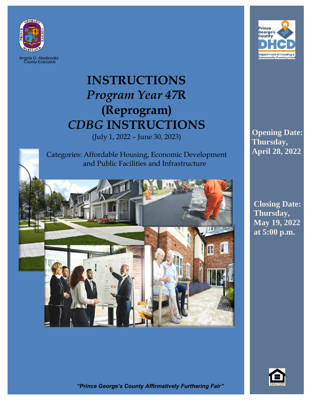

Angela D. Alsobrooks County Executive

# **INSTRUCTIONS** *Program Year 47***R (Reprogram)** *CDBG* **INSTRUCTIONS**

(July 1, 2022 – June 30, 2023)

Categories: Affordable Housing, Economic Development and Public Facilities and Infrastructure





**Opening Date: Thursday, April 28, 2022**

**Closing Date: Thursday, May 19, 2022 at 5:00 p.m.**



*"Prince George's County Affirmatively Furthering Fair"*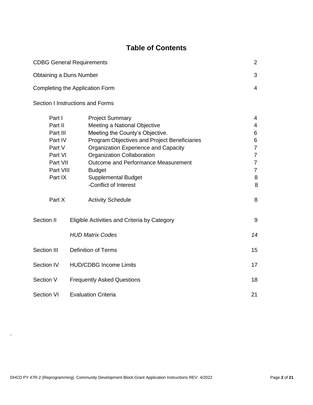## **Table of Contents**

| <b>CDBG General Requirements</b> |                                              | 2 |
|----------------------------------|----------------------------------------------|---|
| <b>Obtaining a Duns Number</b>   |                                              | 3 |
| Completing the Application Form  |                                              | 4 |
| Section I Instructions and Forms |                                              |   |
| Part I                           | <b>Project Summary</b>                       | 4 |
| Part II                          | Meeting a National Objective                 | 4 |
| Part III                         | Meeting the County's Objective.              | 6 |
| Part IV                          | Program Objectives and Project Beneficiaries | 6 |

| Part IV     |  | Program Objectives and Project Beneficiaries | 6              |
|-------------|--|----------------------------------------------|----------------|
| Part V      |  | Organization Experience and Capacity         | $\overline{7}$ |
| Part VI     |  | Organization Collaboration                   | $\overline{7}$ |
| Part VII    |  | <b>Outcome and Performance Measurement</b>   | $\overline{7}$ |
| Part VIII   |  | <b>Budget</b>                                | $\overline{7}$ |
| Part IX     |  | <b>Supplemental Budget</b>                   | 8              |
|             |  | -Conflict of Interest                        | 8              |
| Part X      |  | <b>Activity Schedule</b>                     | 8              |
| Section II  |  | Eligible Activities and Criteria by Category | 9              |
|             |  | <b>HUD Matrix Codes</b>                      | 14             |
| Section III |  | <b>Definition of Terms</b>                   | 15             |
| Section IV  |  | <b>HUD/CDBG Income Limits</b>                | 17             |
| Section V   |  | <b>Frequently Asked Questions</b>            | 18             |
| Section VI  |  | <b>Evaluation Criteria</b>                   | 21             |

.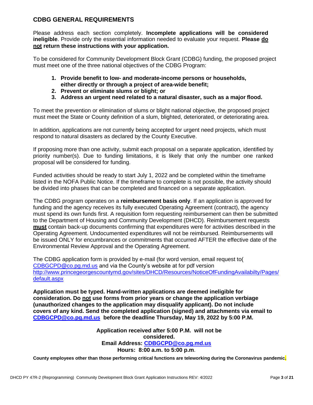#### <span id="page-2-0"></span>**CDBG GENERAL REQUIREMENTS**

Please address each section completely. **Incomplete applications will be considered ineligible**. Provide only the essential information needed to evaluate your request. **Please do not return these instructions with your application.**

To be considered for Community Development Block Grant (CDBG) funding, the proposed project must meet one of the three national objectives of the CDBG Program:

- **1. Provide benefit to low- and moderate-income persons or households, either directly or through a project of area-wide benefit;**
- **2. Prevent or eliminate slums or blight; or**
- **3. Address an urgent need related to a natural disaster, such as a major flood.**

To meet the prevention or elimination of slums or blight national objective, the proposed project must meet the State or County definition of a slum, blighted, deteriorated, or deteriorating area.

In addition, applications are not currently being accepted for urgent need projects, which must respond to natural disasters as declared by the County Executive.

If proposing more than one activity, submit each proposal on a separate application, identified by priority number(s). Due to funding limitations, it is likely that only the number one ranked proposal will be considered for funding.

Funded activities should be ready to start July 1, 2022 and be completed within the timeframe listed in the NOFA Public Notice. If the timeframe to complete is not possible, the activity should be divided into phases that can be completed and financed on a separate application.

The CDBG program operates on a **reimbursement basis only**. If an application is approved for funding and the agency receives its fully executed Operating Agreement (contract), the agency must spend its own funds first. A requisition form requesting reimbursement can then be submitted to the Department of Housing and Community Development (DHCD). Reimbursement requests **must** contain back-up documents confirming that expenditures were for activities described in the Operating Agreement. Undocumented expenditures will not be reimbursed. Reimbursements will be issued ONLY for encumbrances or commitments that occurred AFTER the effective date of the Environmental Review Approval and the Operating Agreement.

The CDBG application form is provided by e-mail (for word version, email request to( [CDBGCPD@co.pg.md.us](mailto:CDBGCPD@co.pg.md.us) and via the County's website at for pdf version <http://www.princegeorgescountymd.gov/sites/DHCD/Resources/NoticeOfFundingAvailabilty/Pages/> [default.aspx](http://www.princegeorgescountymd.gov/sites/DHCD/Resources/NoticeOfFundingAvailabilty/Pages/default.aspx)

**Application must be typed. Hand-written applications are deemed ineligible for consideration. Do not use forms from prior years or change the application verbiage (unauthorized changes to the application may disqualify applicant). Do not include covers of any kind. Send the completed application (signed) and attachments via email to [CDBGCPD@co.pg.md.us](mailto:CDBGCPD@co.pg.md.us) before the deadline Thursday, May 19, 2022 by 5:00 P.M.**

> **Application received after 5:00 P.M. will not be considered. Email Address: [CDBGCPD@co.pg.md.us](mailto:CDBGCPD@co.pg.md.us) Hours: 8:00 a.m. to 5:00 p.m**.

**County employees other than those performing critical functions are teleworking during the Coronavirus pandemic.**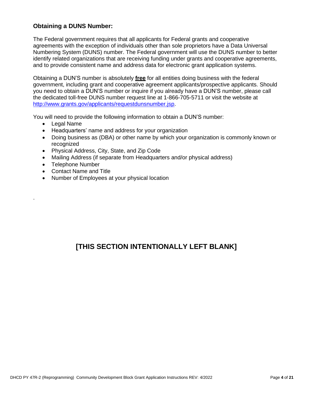## <span id="page-3-0"></span>**Obtaining a DUNS Number:**

The Federal government requires that all applicants for Federal grants and cooperative agreements with the exception of individuals other than sole proprietors have a Data Universal Numbering System (DUNS) number. The Federal government will use the DUNS number to better identify related organizations that are receiving funding under grants and cooperative agreements, and to provide consistent name and address data for electronic grant application systems.

Obtaining a DUN'S number is absolutely **free** for all entities doing business with the federal government, including grant and cooperative agreement applicants/prospective applicants. Should you need to obtain a DUN'S number or inquire if you already have a DUN'S number, please call the dedicated toll-free DUNS number request line at 1-866-705-5711 or visit the website at [http://www.grants.gov/applicants/requestdunsnumber.jsp.](http://www.grants.gov/applicants/requestdunsnumber.jsp)

You will need to provide the following information to obtain a DUN'S number:

• Legal Name

.

- Headquarters' name and address for your organization
- Doing business as (DBA) or other name by which your organization is commonly known or recognized
- Physical Address, City, State, and Zip Code
- Mailing Address (if separate from Headquarters and/or physical address)
- Telephone Number
- Contact Name and Title
- Number of Employees at your physical location

## **[THIS SECTION INTENTIONALLY LEFT BLANK]**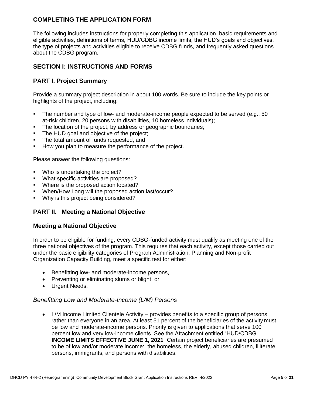## <span id="page-4-0"></span>**COMPLETING THE APPLICATION FORM**

The following includes instructions for properly completing this application, basic requirements and eligible activities, definitions of terms, HUD/CDBG income limits, the HUD's goals and objectives, the type of projects and activities eligible to receive CDBG funds, and frequently asked questions about the CDBG program.

## <span id="page-4-1"></span>**SECTION I: INSTRUCTIONS AND FORMS**

## <span id="page-4-2"></span>**PART I. Project Summary**

Provide a summary project description in about 100 words. Be sure to include the key points or highlights of the project, including:

- The number and type of low- and moderate-income people expected to be served (e.g., 50 at-risk children, 20 persons with disabilities, 10 homeless individuals);
- The location of the project, by address or geographic boundaries;
- The HUD goal and objective of the project:
- The total amount of funds requested; and
- How you plan to measure the performance of the project.

Please answer the following questions:

- **•** Who is undertaking the project?
- What specific activities are proposed?
- Where is the proposed action located?
- When/How Long will the proposed action last/occur?
- Why is this project being considered?

## **PART II. Meeting a National Objective**

#### **Meeting a National Objective**

In order to be eligible for funding, every CDBG-funded activity must qualify as meeting one of the three national objectives of the program. This requires that each activity, except those carried out under the basic eligibility categories of Program Administration, Planning and Non-profit Organization Capacity Building, meet a specific test for either:

- Benefitting low- and moderate-income persons,
- Preventing or eliminating slums or blight, or
- Urgent Needs.

#### *Benefitting Low and Moderate-Income (L/M) Persons*

• L/M Income Limited Clientele Activity – provides benefits to a specific group of persons rather than everyone in an area. At least 51 percent of the beneficiaries of the activity must be low and moderate-income persons. Priority is given to applications that serve 100 percent low and very low-income clients. See the Attachment entitled "HUD/CDBG **INCOME LIMITS EFFECTIVE JUNE 1, 2021**" Certain project beneficiaries are presumed to be of low and/or moderate income: the homeless, the elderly, abused children, illiterate persons, immigrants, and persons with disabilities.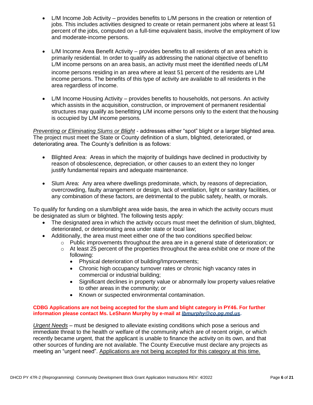- L/M Income Job Activity provides benefits to L/M persons in the creation or retention of jobs. This includes activities designed to create or retain permanent jobs where at least 51 percent of the jobs, computed on a full-time equivalent basis, involve the employment of low and moderate-income persons.
- L/M Income Area Benefit Activity provides benefits to all residents of an area which is primarily residential. In order to qualify as addressing the national objective of benefitto L/M income persons on an area basis, an activity must meet the identified needs of L/M income persons residing in an area where at least 51 percent of the residents are L/M income persons. The benefits of this type of activity are available to all residents in the area regardless of income.
- L/M Income Housing Activity provides benefits to households, not persons. An activity which assists in the acquisition, construction, or improvement of permanent residential structures may qualify as benefitting L/M income persons only to the extent that thehousing is occupied by L/M income persons.

*Preventing or Eliminating Slums or Blight* - addresses either "spot" blight or a larger blighted area. The project must meet the State or County definition of a slum, blighted, deteriorated, or deteriorating area. The County's definition is as follows:

- Blighted Area: Areas in which the majority of buildings have declined in productivity by reason of obsolescence, depreciation, or other causes to an extent they no longer justify fundamental repairs and adequate maintenance.
- Slum Area: Any area where dwellings predominate, which, by reasons of depreciation, overcrowding, faulty arrangement or design, lack of ventilation, light or sanitary facilities, or any combination of these factors, are detrimental to the public safety, health, or morals.

To qualify for funding on a slum/blight area wide basis, the area in which the activity occurs must be designated as slum or blighted. The following tests apply:

- The designated area in which the activity occurs must meet the definition of slum, blighted, deteriorated, or deteriorating area under state or local law;
- Additionally, the area must meet either one of the two conditions specified below:
	- $\circ$  Public improvements throughout the area are in a general state of deterioration; or
	- $\circ$  At least 25 percent of the properties throughout the area exhibit one or more of the following:
		- Physical deterioration of building/Improvements;
		- Chronic high occupancy turnover rates or chronic high vacancy rates in commercial or industrial building;
		- Significant declines in property value or abnormally low property values relative to other areas in the community; or
		- Known or suspected environmental contamination.

#### **CDBG Applications are not being accepted for the slum and blight category in PY46. For further information please contact Ms. LeShann Murphy by e-mail at** *[lbmurphy@co.pg.md.us](mailto:lbmurphy@co.pg.md.us)***.**

*Urgent Needs* – must be designed to alleviate existing conditions which pose a serious and immediate threat to the health or welfare of the community which are of recent origin, or which recently became urgent, that the applicant is unable to finance the activity on its own, and that other sources of funding are not available. The County Executive must declare any projects as meeting an "urgent need". Applications are not being accepted for this category at this time.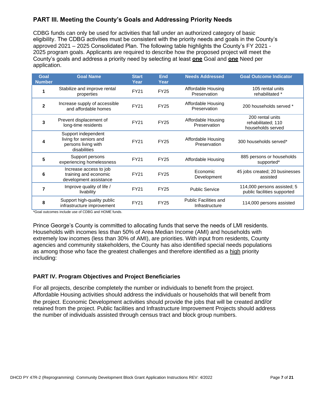## **PART III. Meeting the County's Goals and Addressing Priority Needs**

CDBG funds can only be used for activities that fall under an authorized category of basic eligibility. The CDBG activities must be consistent with the priority needs and goals in the County's approved 2021 – 2025 Consolidated Plan. The following table highlights the County's FY 2021 - 2025 program goals. Applicants are required to describe how the proposed project will meet the County's goals and address a priority need by selecting at least **one** Goal and **one** Need per application.

| Goal<br><b>Number</b> | <b>Goal Name</b>                                                                     | <b>Start</b><br>Year | <b>End</b><br>Year | <b>Needs Addressed</b>                         | <b>Goal Outcome Indicator</b>                               |
|-----------------------|--------------------------------------------------------------------------------------|----------------------|--------------------|------------------------------------------------|-------------------------------------------------------------|
|                       | Stabilize and improve rental<br>properties                                           | <b>FY21</b>          | <b>FY25</b>        | Affordable Housing<br>Preservation             | 105 rental units<br>rehabilitated *                         |
| $\overline{2}$        | Increase supply of accessible<br>and affordable homes                                | <b>FY21</b>          | <b>FY25</b>        | Affordable Housing<br>Preservation             | 200 households served *                                     |
| 3                     | Prevent displacement of<br>long-time residents                                       | <b>FY21</b>          | <b>FY25</b>        | Affordable Housing<br>Preservation             | 200 rental units<br>rehabilitated; 110<br>households served |
| 4                     | Support independent<br>living for seniors and<br>persons living with<br>disabilities | <b>FY21</b>          | <b>FY25</b>        | Affordable Housing<br>Preservation             | 300 households served*                                      |
| 5                     | Support persons<br>experiencing homelessness                                         | <b>FY21</b>          | <b>FY25</b>        | Affordable Housing                             | 885 persons or households<br>supported*                     |
| 6                     | Increase access to job<br>training and economic<br>development assistance            | <b>FY21</b>          | <b>FY25</b>        | Economic<br>Development                        | 45 jobs created; 20 businesses<br>assisted                  |
| 7                     | Improve quality of life /<br>livability                                              | <b>FY21</b>          | <b>FY25</b>        | <b>Public Service</b>                          | 114,000 persons assisted; 5<br>public facilities supported  |
| 8                     | Support high-quality public<br>infrastructure improvement                            | <b>FY21</b>          | <b>FY25</b>        | <b>Public Facilities and</b><br>Infrastructure | 114,000 persons assisted                                    |

\*Goal outcomes include use of CDBG and HOME funds.

Prince George's County is committed to allocating funds that serve the needs of LMI residents. Households with incomes less than 50% of Area Median Income (AMI) and households with extremely low incomes (less than 30% of AMI), are priorities. With input from residents, County agencies and community stakeholders, the County has also identified special needs populations as among those who face the greatest challenges and therefore identified as a high priority including:

#### <span id="page-6-0"></span>**PART IV. Program Objectives and Project Beneficiaries**

For all projects, describe completely the number or individuals to benefit from the project. Affordable Housing activities should address the individuals or households that will benefit from the project. Economic Development activities should provide the jobs that will be created and/or retained from the project. Public facilities and Infrastructure Improvement Projects should address the number of individuals assisted through census tract and block group numbers.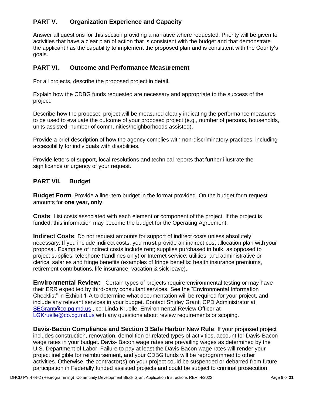## <span id="page-7-0"></span>**PART V. Organization Experience and Capacity**

Answer all questions for this section providing a narrative where requested. Priority will be given to activities that have a clear plan of action that is consistent with the budget and that demonstrate the applicant has the capability to implement the proposed plan and is consistent with the County's goals.

#### <span id="page-7-1"></span>**PART VI. Outcome and Performance Measurement**

For all projects, describe the proposed project in detail.

Explain how the CDBG funds requested are necessary and appropriate to the success of the project.

Describe how the proposed project will be measured clearly indicating the performance measures to be used to evaluate the outcome of your proposed project (e.g., number of persons, households, units assisted; number of communities/neighborhoods assisted).

Provide a brief description of how the agency complies with non-discriminatory practices, including accessibility for individuals with disabilities.

Provide letters of support, local resolutions and technical reports that further illustrate the significance or urgency of your request.

## <span id="page-7-2"></span>**PART VII. Budget**

**Budget Form**: Provide a line-item budget in the format provided. On the budget form request amounts for **one year, only**.

**Costs**: List costs associated with each element or component of the project. If the project is funded, this information may become the budget for the Operating Agreement.

**Indirect Costs**: Do not request amounts for support of indirect costs unless absolutely necessary. If you include indirect costs, you **must** provide an indirect cost allocation plan with your proposal. Examples of indirect costs include rent; supplies purchased in bulk, as opposed to project supplies; telephone (landlines only) or Internet service; utilities; and administrative or clerical salaries and fringe benefits (examples of fringe benefits: health insurance premiums, retirement contributions, life insurance, vacation & sick leave).

**Environmental Review**: Certain types of projects require environmental testing or may have their ERR expedited by third-party consultant services. See the "Environmental Information Checklist" in Exhibit 1-A to determine what documentation will be required for your project, and include any relevant services in your budget. Contact Shirley Grant, CPD Administrator at [SEGrant@co.pg.md.us](mailto:SEGrant@co.pg.md.us) , cc: Linda Kruelle, Environmental Review Officer at [LGKruelle@co.pg.md.us](mailto:LGKruelle@co.pg.md.us) with any questions about review requirements or scoping.

**Davis-Bacon Compliance and Section 3 Safe Harbor New Rule**: If your proposed project includes construction, renovation, demolition or related types of activities, account for Davis-Bacon wage rates in your budget. Davis- Bacon wage rates are prevailing wages as determined by the U.S. Department of Labor. Failure to pay at least the Davis-Bacon wage rates will render your project ineligible for reimbursement, and your CDBG funds will be reprogrammed to other activities. Otherwise, the contractor(s) on your project could be suspended or debarred from future participation in Federally funded assisted projects and could be subject to criminal prosecution.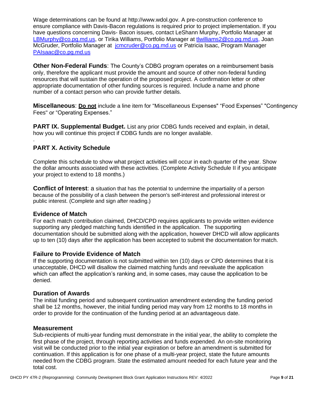Wage determinations can be found at [http://www.wdol.gov.](http://www.wdol.gov/) A pre-construction conference to ensure compliance with Davis-Bacon regulations is required prior to project implementation. If you have questions concerning Davis- Bacon issues, contact LeShann Murphy, Portfolio Manager at [LBMurphy@co.pg.md.us,](mailto:LBMurphy@co.pg.md.us) or Tirika Williams, Portfolio Manager at [tlwilliams2@co.pg.md.us,](mailto:tlwilliams2@co.pg.md.us) Joan McGruder, Portfolio Manager at [jcmcruder@co.pg.md.us](mailto:jcmcruder@co.pg.md.us) or Patricia Isaac, Program Manager [PAIsaac@co.pg.md.us](mailto:PAIsaac@co.pg.md.us)

**Other Non-Federal Funds**: The County's CDBG program operates on a reimbursement basis only, therefore the applicant must provide the amount and source of other non-federal funding resources that will sustain the operation of the proposed project. A confirmation letter or other appropriate documentation of other funding sources is required. Include a name and phone number of a contact person who can provide further details.

**Miscellaneous**: **Do not** include a line item for "Miscellaneous Expenses" "Food Expenses" "Contingency Fees" or "Operating Expenses."

**PART IX. Supplemental Budget.** List any prior CDBG funds received and explain, in detail, how you will continue this project if CDBG funds are no longer available.

## **PART X. Activity Schedule**

.

Complete this schedule to show what project activities will occur in each quarter of the year. Show the dollar amounts associated with these activities. (Complete Activity Schedule II if you anticipate your project to extend to 18 months.)

**Conflict of Interest**: a situation that has the potential to undermine the impartiality of a [person](http://www.businessdictionary.com/definition/person.html) because of the possibility of a clash between the person's [self-interest a](http://www.businessdictionary.com/definition/self-interest.html)nd [professional](http://www.businessdictionary.com/definition/professional.html) [interest o](http://www.businessdictionary.com/definition/interest.html)r [public interest.](http://www.businessdictionary.com/definition/public-interest.html) (Complete and sign after reading.)

#### <span id="page-8-0"></span>**Evidence of Match**

For each match contribution claimed, DHCD/CPD requires applicants to provide written evidence supporting any pledged matching funds identified in the application. The supporting documentation should be submitted along with the application, however DHCD will allow applicants up to ten (10) days after the application has been accepted to submit the documentation for match.

#### **Failure to Provide Evidence of Match**

If the supporting documentation is not submitted within ten (10) days or CPD determines that it is unacceptable, DHCD will disallow the claimed matching funds and reevaluate the application which can affect the application's ranking and, in some cases, may cause the application to be denied.

#### **Duration of Awards**

The initial funding period and subsequent continuation amendment extending the funding period shall be 12 months, however, the initial funding period may vary from 12 months to 18 months in order to provide for the continuation of the funding period at an advantageous date.

#### **Measurement**

Sub-recipients of multi-year funding must demonstrate in the initial year, the ability to complete the first phase of the project, through reporting activities and funds expended. An on-site monitoring visit will be conducted prior to the initial year expiration or before an amendment is submitted for continuation. If this application is for one phase of a multi-year project, state the future amounts needed from the CDBG program. State the estimated amount needed for each future year and the total cost.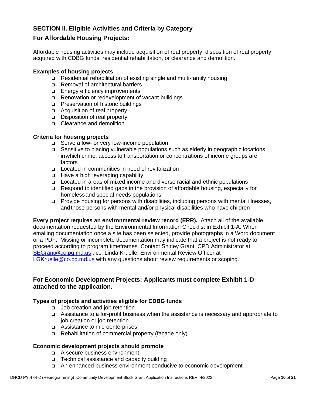## **SECTION II. Eligible Activities and Criteria by Category**

### **For Affordable Housing Projects:**

Affordable housing activities may include acquisition of real property, disposition of real property acquired with CDBG funds, residential rehabilitation, or clearance and demolition.

#### **Examples of housing projects**

- ❑ Residential rehabilitation of existing single and multi-family housing
- ❑ Removal of architectural barriers
- ❑ Energy efficiency improvements
- ❑ Renovation or redevelopment of vacant buildings
- ❑ Preservation of historic buildings
- ❑ Acquisition of real property
- ❑ Disposition of real property
- ❑ Clearance and demolition

#### **Criteria for housing projects**

- ❑ Serve a low- or very low-income population
- ❑ Sensitive to placing vulnerable populations such as elderly in geographic locations inwhich crime, access to transportation or concentrations of income groups are factors
- ❑ Located in communities in need of revitalization
- ❑ Have a high leveraging capability
- ❑ Located in areas of mixed income and diverse racial and ethnic populations
- ❑ Respond to identified gaps in the provision of affordable housing, especially for homelessand special needs populations
- ❑ Provide housing for persons with disabilities, including persons with mental illnesses, and those persons with mental and/or physical disabilities who have children

**Every project requires an environmental review record (ERR).** Attach all of the available documentation requested by the Environmental Information Checklist in Exhibit 1-A. When emailing documentation once a site has been selected, provide photographs in a Word document or a PDF. Missing or incomplete documentation may indicate that a project is not ready to proceed according to program timeframes. Contact Shirley Grant, CPD Administrator at [SEGrant@co.pg.md.us](mailto:SEGrant@co.pg.md.us) , cc: Linda Kruelle, Environmental Review Officer at [LGKruelle@co.pg.md.us](mailto:LGKruelle@co.pg.md.us) with any questions about review requirements or scoping.

#### **For Economic Development Projects: Applicants must complete Exhibit 1-D attached to the application.**

#### **Types of projects and activities eligible for CDBG funds**

- ❑ Job creation and job retention
- ❑ Assistance to a for-profit business when the assistance is necessary and appropriate to job creation or job retention
- ❑ Assistance to microenterprises
- ❑ Rehabilitation of commercial property (façade only)

#### **Economic development projects should promote**

- ❑ A secure business environment
- ❑ Technical assistance and capacity building
- ❑ An enhanced business environment conducive to economic development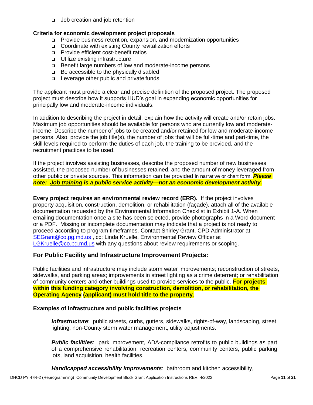❑ Job creation and job retention

## **Criteria for economic development project proposals**

- ❑ Provide business retention, expansion, and modernization opportunities
- ❑ Coordinate with existing County revitalization efforts
- ❑ Provide efficient cost-benefit ratios
- ❑ Utilize existing infrastructure
- ❑ Benefit large numbers of low and moderate-income persons
- ❑ Be accessible to the physically disabled
- ❑ Leverage other public and private funds

The applicant must provide a clear and precise definition of the proposed project. The proposed project must describe how it supports HUD's goal in expanding economic opportunities for principally low and moderate-income individuals.

In addition to describing the project in detail, explain how the activity will create and/or retain jobs. Maximum job opportunities should be available for persons who are currently low and moderateincome. Describe the number of jobs to be created and/or retained for low and moderate-income persons. Also, provide the job title(s), the number of jobs that will be full-time and part-time, the skill levels required to perform the duties of each job, the training to be provided, and the recruitment practices to be used.

If the project involves assisting businesses, describe the proposed number of new businesses assisted, the proposed number of businesses retained, and the amount of money leveraged from other public or private sources. This information can be provided in narrative or chart form. *Please note: Job training is a public service activity—not an economic development activity.*

**Every project requires an environmental review record (ERR).** If the project involves property acquisition, construction, demolition, or rehabilitation (façade), attach all of the available documentation requested by the Environmental Information Checklist in Exhibit 1-A. When emailing documentation once a site has been selected, provide photographs in a Word document or a PDF. Missing or incomplete documentation may indicate that a project is not ready to proceed according to program timeframes. Contact Shirley Grant, CPD Administrator at [SEGrant@co.pg.md.us](mailto:SEGrant@co.pg.md.us) , cc: Linda Kruelle, Environmental Review Officer at [LGKruelle@co.pg.md.us](mailto:LGKruelle@co.pg.md.us) with any questions about review requirements or scoping.

## **For Public Facility and Infrastructure Improvement Projects:**

Public facilities and infrastructure may include storm water improvements; reconstruction of streets, sidewalks, and parking areas; improvements in street lighting as a crime deterrent; or rehabilitation of community centers and other buildings used to provide services to the public. **For projects within this funding category involving construction, demolition, or rehabilitation, the Operating Agency (applicant) must hold title to the property**.

## **Examples of infrastructure and public facilities projects**

*Infrastructure*: public streets, curbs, gutters, sidewalks, rights-of-way, landscaping, street lighting, non-County storm water management, utility adjustments.

**Public facilities**: park improvement, ADA-compliance retrofits to public buildings as part of a comprehensive rehabilitation, recreation centers, community centers, public parking lots, land acquisition, health facilities.

*Handicapped accessibility improvements*: bathroom and kitchen accessibility,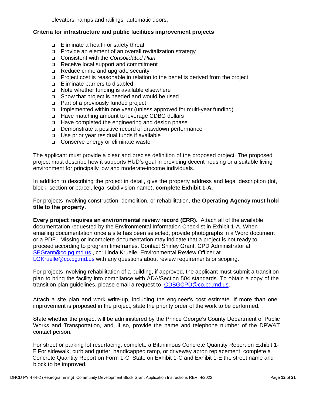elevators, ramps and railings, automatic doors.

#### **Criteria for infrastructure and public facilities improvement projects**

- ❑ Eliminate a health or safety threat
- ❑ Provide an element of an overall revitalization strategy
- ❑ Consistent with the *Consolidated Plan*
- ❑ Receive local support and commitment
- ❑ Reduce crime and upgrade security
- ❑ Project cost is reasonable in relation to the benefits derived from the project
- ❑ Eliminate barriers to disabled
- ❑ Note whether funding is available elsewhere
- ❑ Show that project is needed and would be used
- ❑ Part of a previously funded project
- ❑ Implemented within one year (unless approved for multi-year funding)
- ❑ Have matching amount to leverage CDBG dollars
- ❑ Have completed the engineering and design phase
- ❑ Demonstrate a positive record of drawdown performance
- ❑ Use prior year residual funds if available
- ❑ Conserve energy or eliminate waste

The applicant must provide a clear and precise definition of the proposed project. The proposed project must describe how it supports HUD's goal in providing decent housing or a suitable living environment for principally low and moderate-income individuals.

In addition to describing the project in detail, give the property address and legal description (lot, block, section or parcel, legal subdivision name), **complete Exhibit 1-A.**

For projects involving construction, demolition, or rehabilitation, **the Operating Agency must hold title to the property.**

**Every project requires an environmental review record (ERR).** Attach all of the available documentation requested by the Environmental Information Checklist in Exhibit 1-A. When emailing documentation once a site has been selected, provide photographs in a Word document or a PDF. Missing or incomplete documentation may indicate that a project is not ready to proceed according to program timeframes. Contact Shirley Grant, CPD Administrator at [SEGrant@co.pg.md.us](mailto:SEGrant@co.pg.md.us) , cc: Linda Kruelle, Environmental Review Officer at [LGKruelle@co.pg.md.us](mailto:LGKruelle@co.pg.md.us) with any questions about review requirements or scoping.

For projects involving rehabilitation of a building, if approved, the applicant must submit a transition plan to bring the facility into compliance with ADA/Section 504 standards. To obtain a copy of the transition plan guidelines, please email a request to [CDBGCPD@co.pg.md.us.](mailto:CDBGCPD@co.pg.md.us)

Attach a site plan and work write-up, including the engineer's cost estimate. If more than one improvement is proposed in the project, state the priority order of the work to be performed.

State whether the project will be administered by the Prince George's County Department of Public Works and Transportation, and, if so, provide the name and telephone number of the DPW&T contact person.

For street or parking lot resurfacing, complete a Bituminous Concrete Quantity Report on Exhibit 1- E For sidewalk, curb and gutter, handicapped ramp, or driveway apron replacement, complete a Concrete Quantity Report on Form 1-C. State on Exhibit 1-C and Exhibit 1-E the street name and block to be improved.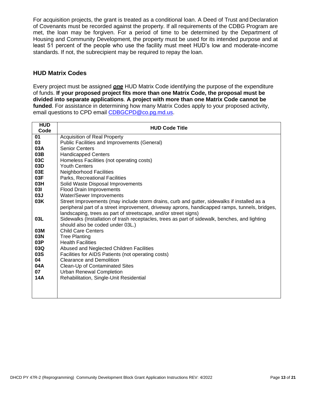For acquisition projects, the grant is treated as a conditional loan. A Deed of Trust and Declaration of Covenants must be recorded against the property. If all requirements of the CDBG Program are met, the loan may be forgiven. For a period of time to be determined by the Department of Housing and Community Development, the property must be used for its intended purpose and at least 51 percent of the people who use the facility must meet HUD's low and moderate-income standards. If not, the subrecipient may be required to repay the loan.

## <span id="page-12-0"></span>**HUD Matrix Codes**

Every project must be assigned *one* HUD Matrix Code identifying the purpose of the expenditure of funds. **If your proposed project fits more than one Matrix Code, the proposal must be divided into separate applications**. **A project with more than one Matrix Code cannot be funded**. For assistance in determining how many Matrix Codes apply to your proposed activity, email questions to CPD email [CDBGCPD@co.pg.md.us.](mailto:CDBGCPD@co.pg.md.us)

| <b>HUD</b><br>Code | <b>HUD Code Title</b>                                                                                                                                                                                                                                            |  |  |  |  |
|--------------------|------------------------------------------------------------------------------------------------------------------------------------------------------------------------------------------------------------------------------------------------------------------|--|--|--|--|
| 01                 | <b>Acquisition of Real Property</b>                                                                                                                                                                                                                              |  |  |  |  |
| 03                 | Public Facilities and Improvements (General)                                                                                                                                                                                                                     |  |  |  |  |
| 03A                | <b>Senior Centers</b>                                                                                                                                                                                                                                            |  |  |  |  |
| 03B                | <b>Handicapped Centers</b>                                                                                                                                                                                                                                       |  |  |  |  |
| 03C                | Homeless Facilities (not operating costs)                                                                                                                                                                                                                        |  |  |  |  |
| 03D                | <b>Youth Centers</b>                                                                                                                                                                                                                                             |  |  |  |  |
| 03E                | <b>Neighborhood Facilities</b>                                                                                                                                                                                                                                   |  |  |  |  |
| 03F                | Parks, Recreational Facilities                                                                                                                                                                                                                                   |  |  |  |  |
| 03H                | Solid Waste Disposal Improvements                                                                                                                                                                                                                                |  |  |  |  |
| 031                | <b>Flood Drain Improvements</b>                                                                                                                                                                                                                                  |  |  |  |  |
| 03J                | Water/Sewer Improvements                                                                                                                                                                                                                                         |  |  |  |  |
| 03K                | Street Improvements (may include storm drains, curb and gutter, sidewalks if installed as a<br>peripheral part of a street improvement, driveway aprons, handicapped ramps, tunnels, bridges,<br>landscaping, trees as part of streetscape, and/or street signs) |  |  |  |  |
| 03L                | Sidewalks (Installation of trash receptacles, trees as part of sidewalk, benches, and lighting                                                                                                                                                                   |  |  |  |  |
|                    | should also be coded under 03L.)                                                                                                                                                                                                                                 |  |  |  |  |
| 03M                | <b>Child Care Centers</b>                                                                                                                                                                                                                                        |  |  |  |  |
| 03N                | <b>Tree Planting</b>                                                                                                                                                                                                                                             |  |  |  |  |
| 03P                | <b>Health Facilities</b>                                                                                                                                                                                                                                         |  |  |  |  |
| 03Q                | Abused and Neglected Children Facilities                                                                                                                                                                                                                         |  |  |  |  |
| 03S                | Facilities for AIDS Patients (not operating costs)                                                                                                                                                                                                               |  |  |  |  |
| 04                 | <b>Clearance and Demolition</b>                                                                                                                                                                                                                                  |  |  |  |  |
| 04A                | Clean-Up of Contaminated Sites                                                                                                                                                                                                                                   |  |  |  |  |
| 07                 | <b>Urban Renewal Completion</b>                                                                                                                                                                                                                                  |  |  |  |  |
| 14A                | Rehabilitation, Single-Unit Residential                                                                                                                                                                                                                          |  |  |  |  |
|                    |                                                                                                                                                                                                                                                                  |  |  |  |  |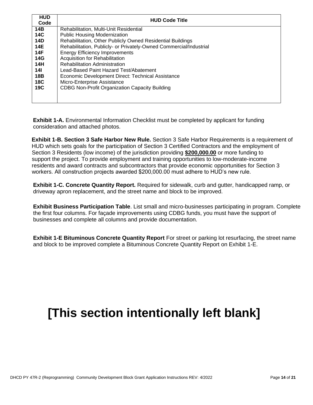| <b>HUD</b><br>Code | <b>HUD Code Title</b>                                              |
|--------------------|--------------------------------------------------------------------|
| 14B                | Rehabilitation, Multi-Unit Residential                             |
| <b>14C</b>         | <b>Public Housing Modernization</b>                                |
| <b>14D</b>         | Rehabilitation, Other Publicly Owned Residential Buildings         |
| <b>14E</b>         | Rehabilitation, Publicly- or Privately-Owned Commercial/Industrial |
| 14F                | <b>Energy Efficiency Improvements</b>                              |
| 14G                | Acquisition for Rehabilitation                                     |
| <b>14H</b>         | <b>Rehabilitation Administration</b>                               |
| 14I                | Lead-Based Paint Hazard Test/Abatement                             |
| 18B                | Economic Development Direct: Technical Assistance                  |
| 18C                | Micro-Enterprise Assistance                                        |
| 19C                | <b>CDBG Non-Profit Organization Capacity Building</b>              |
|                    |                                                                    |
|                    |                                                                    |

<span id="page-13-0"></span>**Exhibit 1-A.** Environmental Information Checklist must be completed by applicant for funding consideration and attached photos.

**Exhibit 1-B. Section 3 Safe Harbor New Rule.** Section 3 Safe Harbor Requirements is a requirement of HUD which sets goals for the participation of Section 3 Certified Contractors and the employment of Section 3 Residents (low income) of the jurisdiction providing **\$200,000.00** or more funding to support the project. To provide employment and training opportunities to low-moderate-income residents and award contracts and subcontractors that provide economic opportunities for Section 3 workers. All construction projects awarded \$200,000.00 must adhere to HUD's new rule.

**Exhibit 1-C. Concrete Quantity Report.** Required for sidewalk, curb and gutter, handicapped ramp, or driveway apron replacement, and the street name and block to be improved.

**Exhibit Business Participation Table**. List small and micro-businesses participating in program. Complete the first four columns. For façade improvements using CDBG funds, you must have the support of businesses and complete all columns and provide documentation.

**Exhibit 1-E Bituminous Concrete Quantity Report** For street or parking lot resurfacing, the street name and block to be improved complete a Bituminous Concrete Quantity Report on Exhibit 1-E.

# **[This section intentionally left blank]**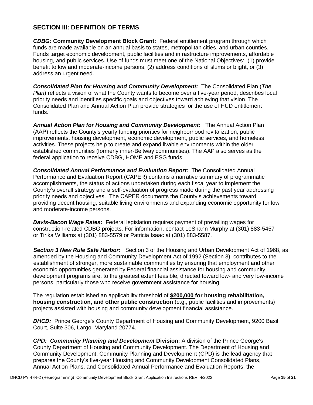## **SECTION III: DEFINITION OF TERMS**

*CDBG:* **Community Development Block Grant:** Federal entitlement program through which funds are made available on an annual basis to states, metropolitan cities, and urban counties. Funds target economic development, public facilities and infrastructure improvements, affordable housing, and public services. Use of funds must meet one of the National Objectives: (1) provide benefit to low and moderate-income persons, (2) address conditions of slums or blight, or (3) address an urgent need.

*Consolidated Plan for Housing and Community Development:* The Consolidated Plan (*The Plan*) reflects a vision of what the County wants to become over a five-year period, describes local priority needs and identifies specific goals and objectives toward achieving that vision. The Consolidated Plan and Annual Action Plan provide strategies for the use of HUD entitlement funds.

*Annual Action Plan for Housing and Community Development:* The Annual Action Plan (AAP) reflects the County's yearly funding priorities for neighborhood revitalization, public improvements, housing development, economic development, public services, and homeless activities. These projects help to create and expand livable environments within the older established communities (formerly inner-Beltway communities). The AAP also serves as the federal application to receive CDBG, HOME and ESG funds.

*Consolidated Annual Performance and Evaluation Report:* The Consolidated Annual Performance and Evaluation Report (CAPER) contains a narrative summary of programmatic accomplishments, the status of actions undertaken during each fiscal year to implement the County's overall strategy and a self-evaluation of progress made during the past year addressing priority needs and objectives. The CAPER documents the County's achievements toward providing decent housing, suitable living environments and expanding economic opportunity for low and moderate-income persons.

*Davis-Bacon Wage Rates:* Federal legislation requires payment of prevailing wages for construction-related CDBG projects. For information, contact LeShann Murphy at (301) 883-5457 or Tirika Williams at (301) 883-5579 or Patricia Isaac at (301) 883-5587.

 *Section 3 New Rule Safe Harbor:* Section 3 of the Housing and Urban Development Act of 1968, as amended by the Housing and Community Development Act of 1992 (Section 3), contributes to the establishment of stronger, more sustainable communities by ensuring that employment and other economic opportunities generated by Federal financial assistance for housing and community development programs are, to the greatest extent feasible, directed toward low- and very low-income persons, particularly those who receive government assistance for housing.

The regulation established an applicability threshold of **\$200,000 for housing rehabilitation, housing construction, and other public construction** (e.g., public facilities and improvements) projects assisted with housing and community development financial assistance.

*DHCD:* Prince George's County Department of Housing and Community Development, 9200 Basil Court, Suite 306, Largo, Maryland 20774.

*CPD: Community Planning and Development* **Division:** A division of the Prince George's County Department of Housing and Community Development. The Department of Housing and Community Development, Community Planning and Development (CPD) is the lead agency that prepares the County's five-year Housing and Community Development Consolidated Plans, Annual Action Plans, and Consolidated Annual Performance and Evaluation Reports, the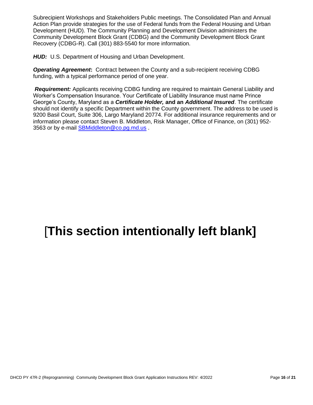Subrecipient Workshops and Stakeholders Public meetings. The Consolidated Plan and Annual Action Plan provide strategies for the use of Federal funds from the Federal Housing and Urban Development (HUD). The Community Planning and Development Division administers the Community Development Block Grant (CDBG) and the Community Development Block Grant Recovery (CDBG-R). Call (301) 883-5540 for more information.

*HUD:* U.S. Department of Housing and Urban Development.

*Operating Agreement***:** Contract between the County and a sub-recipient receiving CDBG funding, with a typical performance period of one year.

*Requirement:* Applicants receiving CDBG funding are required to maintain General Liability and Worker's Compensation Insurance. Your Certificate of Liability Insurance must name Prince George's County, Maryland as a *Certificate Holder,* **and an** *Additional Insured*. The certificate should not identify a specific Department within the County government. The address to be used is 9200 Basil Court, Suite 306, Largo Maryland 20774. For additional insurance requirements and or information please contact Steven B. Middleton, Risk Manager, Office of Finance, on (301) 952- 3563 or by e-mail [SBMiddleton@co.pg.md.us](mailto:SBMiddleton@co.pg.md.us) .

# [**This section intentionally left blank]**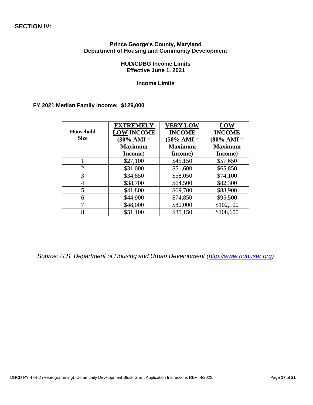#### **SECTION IV:**

#### **Prince George's County, Maryland Department of Housing and Community Development**

#### **HUD/CDBG Income Limits Effective June 1, 2021**

**Income Limits**

#### **FY 2021 Median Family Income: \$129,000**

| Household<br><b>Size</b> | <b>EXTREMELY</b><br><b>LOW INCOME</b><br>$(30\% \text{ AMI} =$<br><b>Maximum</b><br>Income) | <b>VERY LOW</b><br><b>INCOME</b><br>$(50\% \text{ AMI} =$<br><b>Maximum</b><br>Income) | <b>LOW</b><br><b>INCOME</b><br>$(80\% \text{ AMI} =$<br><b>Maximum</b><br>Income) |
|--------------------------|---------------------------------------------------------------------------------------------|----------------------------------------------------------------------------------------|-----------------------------------------------------------------------------------|
|                          | \$27,100                                                                                    | \$45,150                                                                               | \$57,650                                                                          |
| $\overline{2}$           | \$31,000                                                                                    | \$51,600                                                                               | \$65,850                                                                          |
| 3                        | \$34,850                                                                                    | \$58,050                                                                               | \$74,100                                                                          |
| 4                        | \$38,700                                                                                    | \$64,500                                                                               | \$82,300                                                                          |
| 5                        | \$41,800                                                                                    | \$69,700                                                                               | \$88,900                                                                          |
| 6                        | \$44,900                                                                                    | \$74,850                                                                               | \$95,500                                                                          |
| 7                        | \$48,000                                                                                    | \$80,000                                                                               | \$102,100                                                                         |
| 8                        | \$51,100                                                                                    | \$85,150                                                                               | \$108,650                                                                         |

*Source: U.S. Department of Housing and Urban Development [\(http://www.huduser.org\)](http://www.huduser.org/)*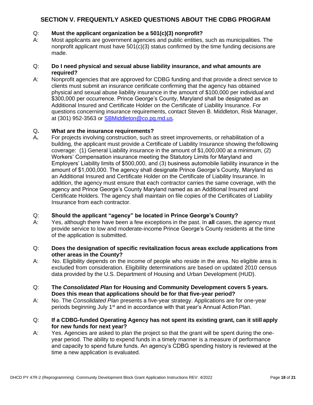## **SECTION V. FREQUENTLY ASKED QUESTIONS ABOUT THE CDBG PROGRAM**

#### Q: **Must the applicant organization be a 501(c)(3) nonprofit?**

A: Most applicants are government agencies and public entities, such as municipalities. The nonprofit applicant must have  $501(c)(3)$  status confirmed by the time funding decisions are made.

#### Q: **Do I need physical and sexual abuse liability insurance, and what amounts are required?**

A: Nonprofit agencies that are approved for CDBG funding and that provide a direct service to clients must submit an insurance certificate confirming that the agency has obtained physical and sexual abuse liability insurance in the amount of \$100,000 per individual and \$300,000 per occurrence. Prince George's County, Maryland shall be designated as an Additional Insured and Certificate Holder on the Certificate of Liability Insurance. For questions concerning insurance requirements, contact Steven B. Middleton, Risk Manager, at (301) 952-3563 or [SBMiddleton@co.pg.md.us.](mailto:SBMiddleton@co.pg.md.us)

#### Q**. What are the insurance requirements?**

A**.** For projects involving construction, such as street improvements, or rehabilitation of a building, the applicant must provide a Certificate of Liability Insurance showing thefollowing coverage: (1) General Liability insurance in the amount of \$1,000,000 at a minimum, (2) Workers' Compensation insurance meeting the Statutory Limits for Maryland and Employers' Liability limits of \$500,000, and (3) business automobile liability insurance in the amount of \$1,000,000. The agency shall designate Prince George's County, Maryland as an Additional Insured and Certificate Holder on the Certificate of Liability Insurance. In addition, the agency must ensure that each contractor carries the same coverage, with the agency and Prince George's County Maryland named as an Additional Insured and Certificate Holders. The agency shall maintain on file copies of the Certificates of Liability Insurance from each contractor.

#### Q: **Should the applicant "agency" be located in Prince George's County?**

A: Yes, although there have been a few exceptions in the past. In **all** cases, the agency must provide service to low and moderate-income Prince George's County residents at the time of the application is submitted.

#### Q: **Does the designation of specific revitalization focus areas exclude applications from other areas in the County?**

- A: No. Eligibility depends on the income of people who reside in the area. No eligible area is excluded from consideration. Eligibility determinations are based on updated 2010 census data provided by the U.S. Department of Housing and Urban Development (HUD).
- Q: **The** *Consolidated Plan* **for Housing and Community Development covers 5 years. Does this mean that applications should be for that five-year period?**
- A: No. The *Consolidated Plan* presents a five-year strategy. Applications are for one-year periods beginning July  $1<sup>st</sup>$  and in accordance with that year's Annual Action Plan.
- Q: **If a CDBG-funded Operating Agency has not spent its existing grant, can it still apply for new funds for next year?**
- A: Yes. Agencies are asked to plan the project so that the grant will be spent during the oneyear period. The ability to expend funds in a timely manner is a measure of performance and capacity to spend future funds. An agency's CDBG spending history is reviewed at the time a new application is evaluated.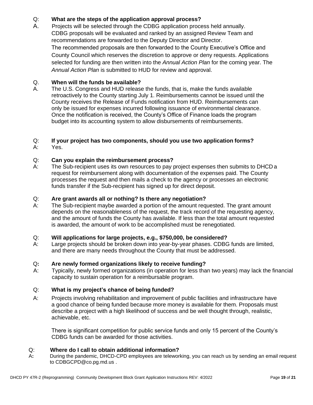## Q: **What are the steps of the application approval process?**

A. Projects will be selected through the CDBG application process held annually. CDBG proposals will be evaluated and ranked by an assigned Review Team and recommendations are forwarded to the Deputy Director and Director. The recommended proposals are then forwarded to the County Executive's Office and County Council which reserves the discretion to approve or deny requests. Applications selected for funding are then written into the *Annual Action Plan* for the coming year. The *Annual Action Plan* is submitted to HUD for review and approval.

#### Q. **When will the funds be available?**

A. The U.S. Congress and HUD release the funds, that is, make the funds available retroactively to the County starting July 1. Reimbursements cannot be issued until the County receives the Release of Funds notification from HUD. Reimbursements can only be issued for expenses incurred following issuance of environmental clearance. Once the notification is received, the County's Office of Finance loads the program budget into its accounting system to allow disbursements of reimbursements.

#### Q: **If your project has two components, should you use two application forms?**

A: Yes.

#### Q: **Can you explain the reimbursement process?**

A: The Sub-recipient uses its own resources to pay project expenses then submits to DHCD a request for reimbursement along with documentation of the expenses paid. The County processes the request and then mails a check to the agency or processes an electronic funds transfer if the Sub-recipient has signed up for direct deposit.

#### Q: **Are grant awards all or nothing? Is there any negotiation?**

A: The Sub-recipient maybe awarded a portion of the amount requested. The grant amount depends on the reasonableness of the request, the track record of the requesting agency, and the amount of funds the County has available. If less than the total amount requested is awarded, the amount of work to be accomplished must be renegotiated.

#### Q: **Will applications for large projects, e.g., \$750,000, be considered?**

A: Large projects should be broken down into year-by-year phases. CDBG funds are limited, and there are many needs throughout the County that must be addressed.

#### Q**: Are newly formed organizations likely to receive funding?**

 A: Typically, newly formed organizations (in operation for less than two years) may lack the financial capacity to sustain operation for a reimbursable program.

#### Q: **What is my project's chance of being funded?**

A: Projects involving rehabilitation and improvement of public facilities and infrastructure have a good chance of being funded because more money is available for them. Proposals must describe a project with a high likelihood of success and be well thought through, realistic, achievable, etc.

There is significant competition for public service funds and only 15 percent of the County's CDBG funds can be awarded for those activities.

#### Q: **Where do I call to obtain additional information?**

 A**:** During the pandemic, DHCD-CPD employees are teleworking, you can reach us by sending an email request to CDBGCPD@co.pg.md.us .